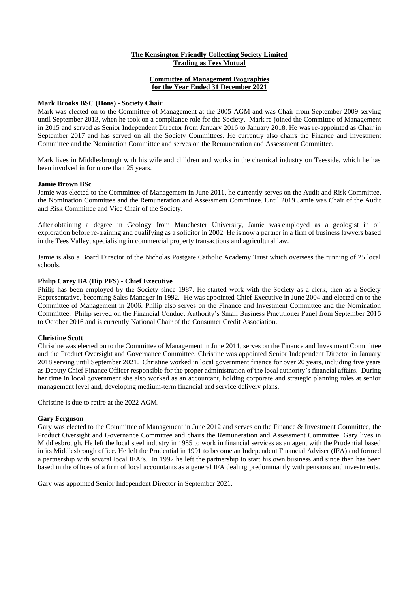### **The Kensington Friendly Collecting Society Limited Trading as Tees Mutual**

# **Committee of Management Biographies for the Year Ended 31 December 2021**

### **Mark Brooks BSC (Hons) - Society Chair**

Mark was elected on to the Committee of Management at the 2005 AGM and was Chair from September 2009 serving until September 2013, when he took on a compliance role for the Society. Mark re-joined the Committee of Management in 2015 and served as Senior Independent Director from January 2016 to January 2018. He was re-appointed as Chair in September 2017 and has served on all the Society Committees. He currently also chairs the Finance and Investment Committee and the Nomination Committee and serves on the Remuneration and Assessment Committee.

Mark lives in Middlesbrough with his wife and children and works in the chemical industry on Teesside, which he has been involved in for more than 25 years.

### **Jamie Brown BSc**

Jamie was elected to the Committee of Management in June 2011, he currently serves on the Audit and Risk Committee, the Nomination Committee and the Remuneration and Assessment Committee. Until 2019 Jamie was Chair of the Audit and Risk Committee and Vice Chair of the Society.

After obtaining a degree in Geology from Manchester University, Jamie was employed as a geologist in oil exploration before re-training and qualifying as a solicitor in 2002. He is now a partner in a firm of business lawyers based in the Tees Valley, specialising in commercial property transactions and agricultural law.

Jamie is also a Board Director of the Nicholas Postgate Catholic Academy Trust which oversees the running of 25 local schools.

### **Philip Carey BA (Dip PFS) - Chief Executive**

Philip has been employed by the Society since 1987. He started work with the Society as a clerk, then as a Society Representative, becoming Sales Manager in 1992. He was appointed Chief Executive in June 2004 and elected on to the Committee of Management in 2006. Philip also serves on the Finance and Investment Committee and the Nomination Committee. Philip served on the Financial Conduct Authority's Small Business Practitioner Panel from September 2015 to October 2016 and is currently National Chair of the Consumer Credit Association.

### **Christine Scott**

Christine was elected on to the Committee of Management in June 2011, serves on the Finance and Investment Committee and the Product Oversight and Governance Committee. Christine was appointed Senior Independent Director in January 2018 serving until September 2021. Christine worked in local government finance for over 20 years, including five years as Deputy Chief Finance Officer responsible for the proper administration of the local authority's financial affairs. During her time in local government she also worked as an accountant, holding corporate and strategic planning roles at senior management level and, developing medium-term financial and service delivery plans.

Christine is due to retire at the 2022 AGM.

#### **Gary Ferguson**

Gary was elected to the Committee of Management in June 2012 and serves on the Finance & Investment Committee, the Product Oversight and Governance Committee and chairs the Remuneration and Assessment Committee. Gary lives in Middlesbrough. He left the local steel industry in 1985 to work in financial services as an agent with the Prudential based in its Middlesbrough office. He left the Prudential in 1991 to become an Independent Financial Adviser (IFA) and formed a partnership with several local IFA's. In 1992 he left the partnership to start his own business and since then has been based in the offices of a firm of local accountants as a general IFA dealing predominantly with pensions and investments.

Gary was appointed Senior Independent Director in September 2021.